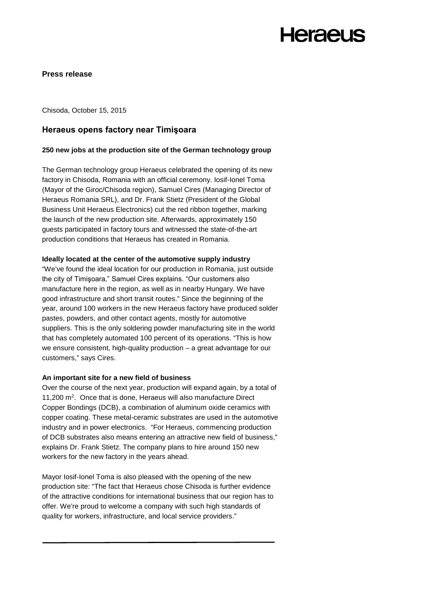## **Heraeus**

#### **Press release**

Chisoda, October 15, 2015

### **Heraeus opens factory near Timişoara**

#### **250 new jobs at the production site of the German technology group**

The German technology group Heraeus celebrated the opening of its new factory in Chisoda, Romania with an official ceremony. Iosif-Ionel Toma (Mayor of the Giroc/Chisoda region), Samuel Cires (Managing Director of Heraeus Romania SRL), and Dr. Frank Stietz (President of the Global Business Unit Heraeus Electronics) cut the red ribbon together, marking the launch of the new production site. Afterwards, approximately 150 guests participated in factory tours and witnessed the state-of-the-art production conditions that Heraeus has created in Romania.

#### **Ideally located at the center of the automotive supply industry**

"We've found the ideal location for our production in Romania, just outside the city of Timişoara," Samuel Cires explains. "Our customers also manufacture here in the region, as well as in nearby Hungary. We have good infrastructure and short transit routes." Since the beginning of the year, around 100 workers in the new Heraeus factory have produced solder pastes, powders, and other contact agents, mostly for automotive suppliers. This is the only soldering powder manufacturing site in the world that has completely automated 100 percent of its operations. "This is how we ensure consistent, high-quality production – a great advantage for our customers," says Cires.

#### **An important site for a new field of business**

Over the course of the next year, production will expand again, by a total of 11,200 m2. Once that is done, Heraeus will also manufacture Direct Copper Bondings (DCB), a combination of aluminum oxide ceramics with copper coating. These metal-ceramic substrates are used in the automotive industry and in power electronics. "For Heraeus, commencing production of DCB substrates also means entering an attractive new field of business," explains Dr. Frank Stietz. The company plans to hire around 150 new workers for the new factory in the years ahead.

Mayor Iosif-Ionel Toma is also pleased with the opening of the new production site: "The fact that Heraeus chose Chisoda is further evidence of the attractive conditions for international business that our region has to offer. We're proud to welcome a company with such high standards of quality for workers, infrastructure, and local service providers."